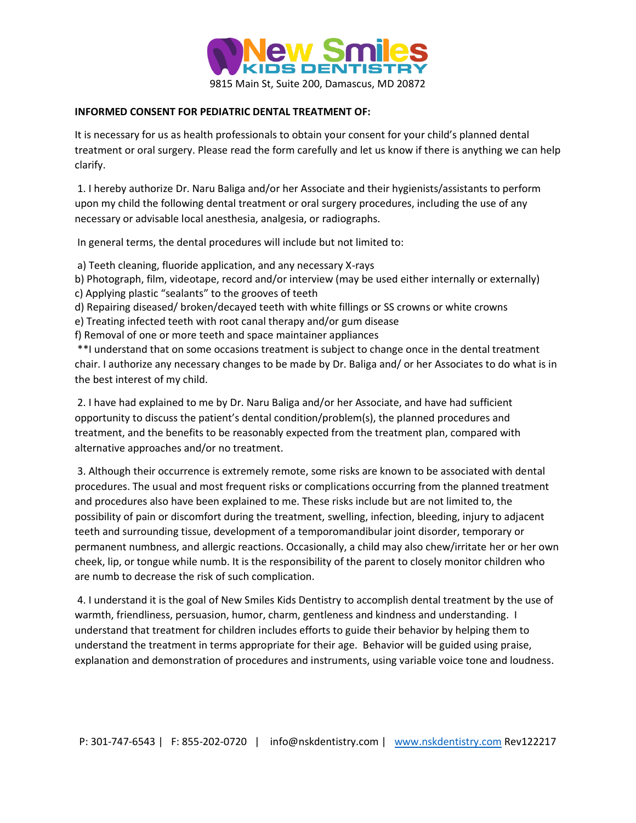

## **INFORMED CONSENT FOR PEDIATRIC DENTAL TREATMENT OF:**

It is necessary for us as health professionals to obtain your consent for your child's planned dental treatment or oral surgery. Please read the form carefully and let us know if there is anything we can help clarify.

1. I hereby authorize Dr. Naru Baliga and/or her Associate and their hygienists/assistants to perform upon my child the following dental treatment or oral surgery procedures, including the use of any necessary or advisable local anesthesia, analgesia, or radiographs.

In general terms, the dental procedures will include but not limited to:

- a) Teeth cleaning, fluoride application, and any necessary X-rays
- b) Photograph, film, videotape, record and/or interview (may be used either internally or externally) c) Applying plastic "sealants" to the grooves of teeth
- d) Repairing diseased/ broken/decayed teeth with white fillings or SS crowns or white crowns
- e) Treating infected teeth with root canal therapy and/or gum disease

f) Removal of one or more teeth and space maintainer appliances

\*\*I understand that on some occasions treatment is subject to change once in the dental treatment chair. I authorize any necessary changes to be made by Dr. Baliga and/ or her Associates to do what is in the best interest of my child.

2. I have had explained to me by Dr. Naru Baliga and/or her Associate, and have had sufficient opportunity to discuss the patient's dental condition/problem(s), the planned procedures and treatment, and the benefits to be reasonably expected from the treatment plan, compared with alternative approaches and/or no treatment.

3. Although their occurrence is extremely remote, some risks are known to be associated with dental procedures. The usual and most frequent risks or complications occurring from the planned treatment and procedures also have been explained to me. These risks include but are not limited to, the possibility of pain or discomfort during the treatment, swelling, infection, bleeding, injury to adjacent teeth and surrounding tissue, development of a temporomandibular joint disorder, temporary or permanent numbness, and allergic reactions. Occasionally, a child may also chew/irritate her or her own cheek, lip, or tongue while numb. It is the responsibility of the parent to closely monitor children who are numb to decrease the risk of such complication.

4. I understand it is the goal of New Smiles Kids Dentistry to accomplish dental treatment by the use of warmth, friendliness, persuasion, humor, charm, gentleness and kindness and understanding. I understand that treatment for children includes efforts to guide their behavior by helping them to understand the treatment in terms appropriate for their age. Behavior will be guided using praise, explanation and demonstration of procedures and instruments, using variable voice tone and loudness.